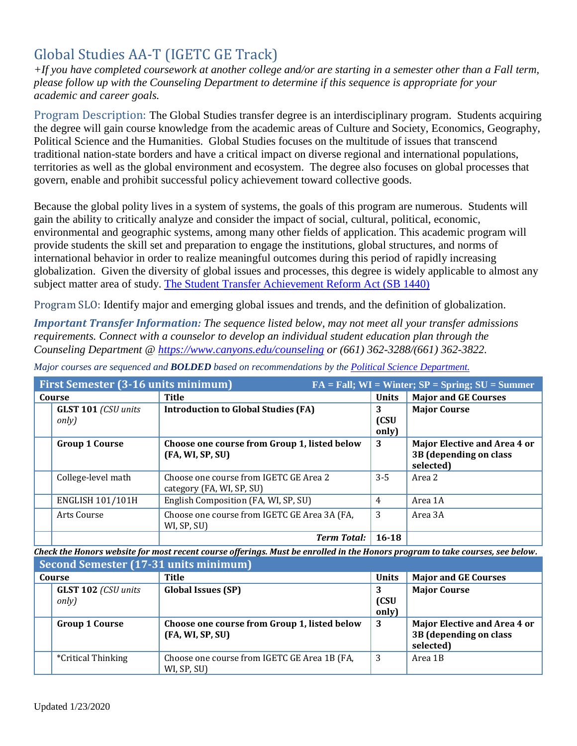# Global Studies AA-T (IGETC GE Track)

*+If you have completed coursework at another college and/or are starting in a semester other than a Fall term, please follow up with the Counseling Department to determine if this sequence is appropriate for your academic and career goals.* 

Program Description: The Global Studies transfer degree is an interdisciplinary program. Students acquiring the degree will gain course knowledge from the academic areas of Culture and Society, Economics, Geography, Political Science and the Humanities. Global Studies focuses on the multitude of issues that transcend traditional nation-state borders and have a critical impact on diverse regional and international populations, territories as well as the global environment and ecosystem. The degree also focuses on global processes that govern, enable and prohibit successful policy achievement toward collective goods.

Because the global polity lives in a system of systems, the goals of this program are numerous. Students will gain the ability to critically analyze and consider the impact of social, cultural, political, economic, environmental and geographic systems, among many other fields of application. This academic program will provide students the skill set and preparation to engage the institutions, global structures, and norms of international behavior in order to realize meaningful outcomes during this period of rapidly increasing globalization. Given the diversity of global issues and processes, this degree is widely applicable to almost any subject matter area of study. [The Student Transfer Achievement Reform Act \(SB 1440\)](https://www2.calstate.edu/apply/transfer/Pages/ccc-associate-degree-for-transfer.aspx)

Program SLO: Identify major and emerging global issues and trends, and the definition of globalization.

*Important Transfer Information: The sequence listed below, may not meet all your transfer admissions requirements. Connect with a counselor to develop an individual student education plan through the Counseling Department @<https://www.canyons.edu/counseling> or (661) 362-3288/(661) 362-3822.*

| <b>First Semester (3-16 units minimum)</b><br>$FA = Fall; WI = Winter; SP = Spring; SU = Summer$ |                                                                     |                    |                                                                     |  |
|--------------------------------------------------------------------------------------------------|---------------------------------------------------------------------|--------------------|---------------------------------------------------------------------|--|
| Course                                                                                           | Title                                                               | <b>Units</b>       | <b>Major and GE Courses</b>                                         |  |
| <b>GLST 101 (CSU units</b><br>only)                                                              | <b>Introduction to Global Studies (FA)</b>                          | 3<br>(CSU<br>only) | <b>Major Course</b>                                                 |  |
| <b>Group 1 Course</b>                                                                            | Choose one course from Group 1, listed below<br>(FA, WI, SP, SU)    | 3                  | Major Elective and Area 4 or<br>3B (depending on class<br>selected) |  |
| College-level math                                                                               | Choose one course from IGETC GE Area 2<br>category (FA, WI, SP, SU) | $3 - 5$            | Area 2                                                              |  |
| <b>ENGLISH 101/101H</b>                                                                          | English Composition (FA, WI, SP, SU)                                | 4                  | Area 1A                                                             |  |
| Arts Course                                                                                      | Choose one course from IGETC GE Area 3A (FA,<br>WI, SP, SU)         | 3                  | Area 3A                                                             |  |
|                                                                                                  | <b>Term Total:</b>                                                  | $16-18$            |                                                                     |  |

*Major courses are sequenced and BOLDED based on recommendations by the [Political Science](https://www.canyons.edu/academics/politicalscience/index.php) Department.*

*Check the Honors website for most recent course offerings. Must be enrolled in the Honors program to take courses, see below.*

|        | Second Semester (17-31 units minimum) |                                                                  |                    |                                                                     |  |
|--------|---------------------------------------|------------------------------------------------------------------|--------------------|---------------------------------------------------------------------|--|
| Course |                                       | Title                                                            | <b>Units</b>       | <b>Major and GE Courses</b>                                         |  |
|        | <b>GLST 102</b> (CSU units<br>only)   | <b>Global Issues (SP)</b>                                        | 3<br>(CSU<br>only) | <b>Major Course</b>                                                 |  |
|        | <b>Group 1 Course</b>                 | Choose one course from Group 1, listed below<br>(FA, WI, SP, SU) | 3                  | Major Elective and Area 4 or<br>3B (depending on class<br>selected) |  |
|        | <i>*Critical Thinking</i>             | Choose one course from IGETC GE Area 1B (FA,<br>WI, SP, SU)      | 3                  | Area 1B                                                             |  |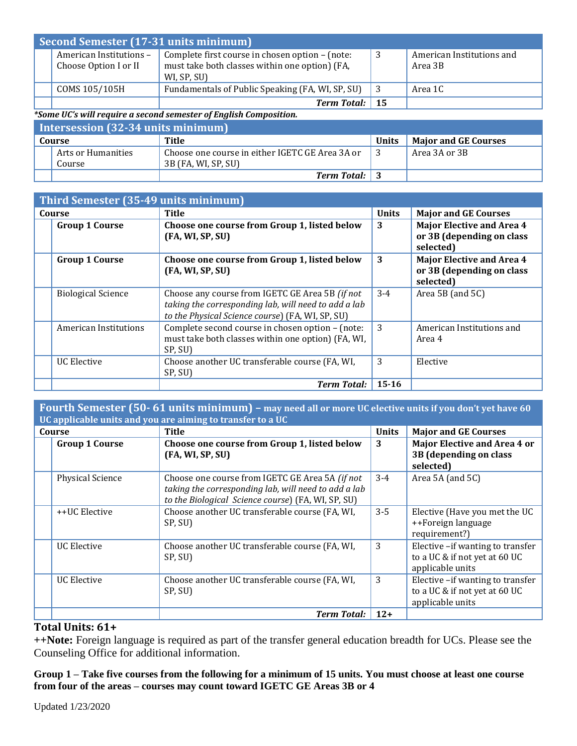| Second Semester (17-31 units minimum)            |                                                                                                                  |    |                                      |
|--------------------------------------------------|------------------------------------------------------------------------------------------------------------------|----|--------------------------------------|
| American Institutions -<br>Choose Option I or II | Complete first course in chosen option - (note:<br>must take both classes within one option) (FA,<br>WI, SP, SU) | -3 | American Institutions and<br>Area 3B |
| COMS 105/105H                                    | Fundamentals of Public Speaking (FA, WI, SP, SU)                                                                 |    | Area 1C                              |
|                                                  | Term Total: 15                                                                                                   |    |                                      |

#### *\*Some UC's will require a second semester of English Composition.*

| Intersession $(32-34)$ units minimum |                    |                                                 |       |                             |
|--------------------------------------|--------------------|-------------------------------------------------|-------|-----------------------------|
| Course                               |                    | Title                                           | Units | <b>Major and GE Courses</b> |
|                                      | Arts or Humanities | Choose one course in either IGETC GE Area 3A or |       | Area 3A or 3B               |
|                                      | Course             | 3B (FA, WI, SP, SU)                             |       |                             |
|                                      |                    | <b>Term Total:</b> 3                            |       |                             |

| Third Semester (35-49 units minimum) |                                                                                                                                                             |              |                                                                            |
|--------------------------------------|-------------------------------------------------------------------------------------------------------------------------------------------------------------|--------------|----------------------------------------------------------------------------|
| Course                               | Title                                                                                                                                                       | <b>Units</b> | <b>Major and GE Courses</b>                                                |
| <b>Group 1 Course</b>                | Choose one course from Group 1, listed below<br>(FA, WI, SP, SU)                                                                                            | 3            | <b>Major Elective and Area 4</b><br>or 3B (depending on class<br>selected) |
| <b>Group 1 Course</b>                | Choose one course from Group 1, listed below<br>(FA, WI, SP, SU)                                                                                            | 3            | <b>Major Elective and Area 4</b><br>or 3B (depending on class<br>selected) |
| <b>Biological Science</b>            | Choose any course from IGETC GE Area 5B (if not<br>taking the corresponding lab, will need to add a lab<br>to the Physical Science course) (FA, WI, SP, SU) | $3-4$        | Area 5B (and $5C$ )                                                        |
| American Institutions                | Complete second course in chosen option - (note:<br>must take both classes within one option) (FA, WI,<br>SP, SU)                                           | 3            | American Institutions and<br>Area 4                                        |
| <b>UC</b> Elective                   | Choose another UC transferable course (FA, WI,<br>SP, SU)                                                                                                   | 3            | Elective                                                                   |
|                                      | <b>Term Total:</b>                                                                                                                                          | $15 - 16$    |                                                                            |

**Fourth Semester (50- 61 units minimum) – may need all or more UC elective units if you don't yet have 60 UC applicable units and you are aiming to transfer to a UC**

| Course |                         | <b>Title</b>                                                                                                                                                  | <b>Units</b> | <b>Major and GE Courses</b>                                                           |
|--------|-------------------------|---------------------------------------------------------------------------------------------------------------------------------------------------------------|--------------|---------------------------------------------------------------------------------------|
|        | <b>Group 1 Course</b>   | Choose one course from Group 1, listed below<br>(FA, WI, SP, SU)                                                                                              | 3            | <b>Major Elective and Area 4 or</b><br>3B (depending on class<br>selected)            |
|        | <b>Physical Science</b> | Choose one course from IGETC GE Area 5A (if not<br>taking the corresponding lab, will need to add a lab<br>to the Biological Science course) (FA, WI, SP, SU) | $3 - 4$      | Area 5A (and 5C)                                                                      |
|        | ++UC Elective           | Choose another UC transferable course (FA, WI,<br>SP, SU)                                                                                                     | $3 - 5$      | Elective (Have you met the UC<br>++Foreign language<br>requirement?)                  |
|        | <b>UC Elective</b>      | Choose another UC transferable course (FA, WI,<br>SP, SU)                                                                                                     | 3            | Elective -if wanting to transfer<br>to a UC & if not yet at 60 UC<br>applicable units |
|        | <b>UC Elective</b>      | Choose another UC transferable course (FA, WI,<br>SP, SU)                                                                                                     | 3            | Elective -if wanting to transfer<br>to a UC & if not yet at 60 UC<br>applicable units |
|        |                         | <b>Term Total:</b>                                                                                                                                            | $12+$        |                                                                                       |

# **Total Units: 61+**

**++Note:** Foreign language is required as part of the transfer general education breadth for UCs. Please see the Counseling Office for additional information.

## **Group 1 – Take five courses from the following for a minimum of 15 units. You must choose at least one course from four of the areas – courses may count toward IGETC GE Areas 3B or 4**

Updated 1/23/2020